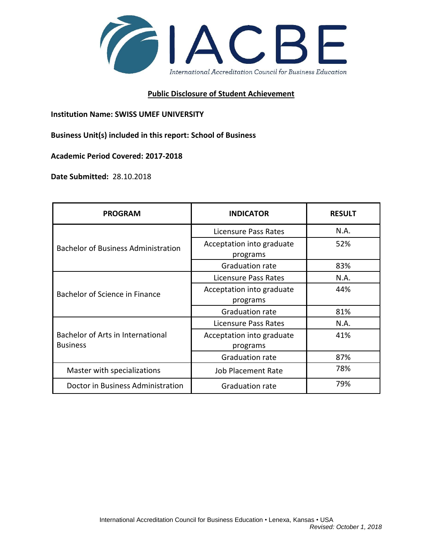

## **Public Disclosure of Student Achievement**

**Institution Name: SWISS UMEF UNIVERSITY** 

**Business Unit(s) included in this report: School of Business**

**Academic Period Covered: 2017-2018**

**Date Submitted:** 28.10.2018

| <b>PROGRAM</b>                                       | <b>INDICATOR</b>                      | <b>RESULT</b> |
|------------------------------------------------------|---------------------------------------|---------------|
| Bachelor of Business Administration                  | Licensure Pass Rates                  | N.A.          |
|                                                      | Acceptation into graduate<br>programs | 52%           |
|                                                      | <b>Graduation rate</b>                | 83%           |
| Bachelor of Science in Finance                       | Licensure Pass Rates                  | N.A.          |
|                                                      | Acceptation into graduate<br>programs | 44%           |
|                                                      | Graduation rate                       | 81%           |
| Bachelor of Arts in International<br><b>Business</b> | Licensure Pass Rates                  | N.A.          |
|                                                      | Acceptation into graduate<br>programs | 41%           |
|                                                      | <b>Graduation rate</b>                | 87%           |
| Master with specializations                          | <b>Job Placement Rate</b>             | 78%           |
| Doctor in Business Administration                    | <b>Graduation rate</b>                | 79%           |